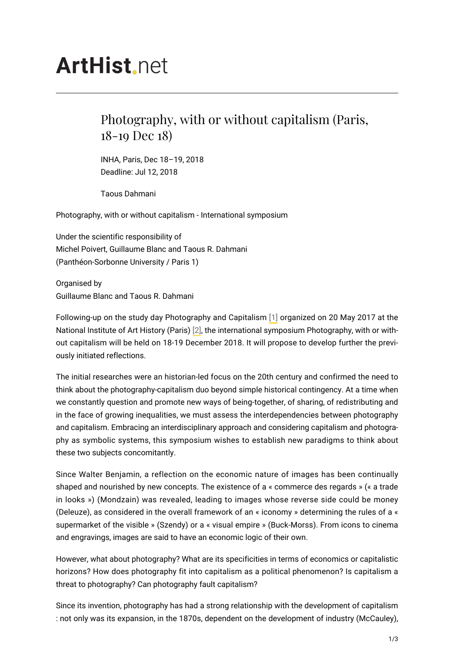## **ArtHist**, net

## Photography, with or without capitalism (Paris, 18-19 Dec 18)

INHA, Paris, Dec 18–19, 2018 Deadline: Jul 12, 2018

Taous Dahmani

Photography, with or without capitalism - International symposium

Under the scientific responsibility of Michel Poivert, Guillaume Blanc and Taous R. Dahmani (Panthéon-Sorbonne University / Paris 1)

Organised by Guillaume Blanc and Taous R. Dahmani

<span id="page-0-1"></span><span id="page-0-0"></span>Following-up on the study day Photography and Capitalism [\[1\]](#page-2-0) organized on 20 May 2017 at the National Institute of Art History (Paris) [\[2\],](#page-2-1) the international symposium Photography, with or without capitalism will be held on 18-19 December 2018. It will propose to develop further the previously initiated reflections.

The initial researches were an historian-led focus on the 20th century and confirmed the need to think about the photography-capitalism duo beyond simple historical contingency. At a time when we constantly question and promote new ways of being-together, of sharing, of redistributing and in the face of growing inequalities, we must assess the interdependencies between photography and capitalism. Embracing an interdisciplinary approach and considering capitalism and photography as symbolic systems, this symposium wishes to establish new paradigms to think about these two subjects concomitantly.

Since Walter Benjamin, a reflection on the economic nature of images has been continually shaped and nourished by new concepts. The existence of a « commerce des regards » (« a trade in looks ») (Mondzain) was revealed, leading to images whose reverse side could be money (Deleuze), as considered in the overall framework of an « iconomy » determining the rules of a « supermarket of the visible » (Szendy) or a « visual empire » (Buck-Morss). From icons to cinema and engravings, images are said to have an economic logic of their own.

However, what about photography? What are its specificities in terms of economics or capitalistic horizons? How does photography fit into capitalism as a political phenomenon? Is capitalism a threat to photography? Can photography fault capitalism?

Since its invention, photography has had a strong relationship with the development of capitalism : not only was its expansion, in the 1870s, dependent on the development of industry (McCauley),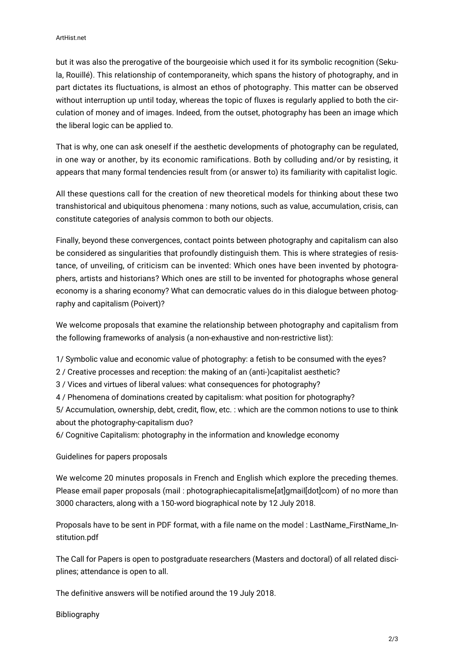but it was also the prerogative of the bourgeoisie which used it for its symbolic recognition (Sekula, Rouillé). This relationship of contemporaneity, which spans the history of photography, and in part dictates its fluctuations, is almost an ethos of photography. This matter can be observed without interruption up until today, whereas the topic of fluxes is regularly applied to both the circulation of money and of images. Indeed, from the outset, photography has been an image which the liberal logic can be applied to.

That is why, one can ask oneself if the aesthetic developments of photography can be regulated, in one way or another, by its economic ramifications. Both by colluding and/or by resisting, it appears that many formal tendencies result from (or answer to) its familiarity with capitalist logic.

All these questions call for the creation of new theoretical models for thinking about these two transhistorical and ubiquitous phenomena : many notions, such as value, accumulation, crisis, can constitute categories of analysis common to both our objects.

Finally, beyond these convergences, contact points between photography and capitalism can also be considered as singularities that profoundly distinguish them. This is where strategies of resistance, of unveiling, of criticism can be invented: Which ones have been invented by photographers, artists and historians? Which ones are still to be invented for photographs whose general economy is a sharing economy? What can democratic values do in this dialogue between photography and capitalism (Poivert)?

We welcome proposals that examine the relationship between photography and capitalism from the following frameworks of analysis (a non-exhaustive and non-restrictive list):

1/ Symbolic value and economic value of photography: a fetish to be consumed with the eyes?

2 / Creative processes and reception: the making of an (anti-)capitalist aesthetic?

3 / Vices and virtues of liberal values: what consequences for photography?

4 / Phenomena of dominations created by capitalism: what position for photography?

5/ Accumulation, ownership, debt, credit, flow, etc. : which are the common notions to use to think about the photography-capitalism duo?

6/ Cognitive Capitalism: photography in the information and knowledge economy

Guidelines for papers proposals

We welcome 20 minutes proposals in French and English which explore the preceding themes. Please email paper proposals (mail : photographiecapitalisme[at]gmail[dot]com) of no more than 3000 characters, along with a 150-word biographical note by 12 July 2018.

Proposals have to be sent in PDF format, with a file name on the model : LastName\_FirstName\_Institution.pdf

The Call for Papers is open to postgraduate researchers (Masters and doctoral) of all related disciplines; attendance is open to all.

The definitive answers will be notified around the 19 July 2018.

Bibliography